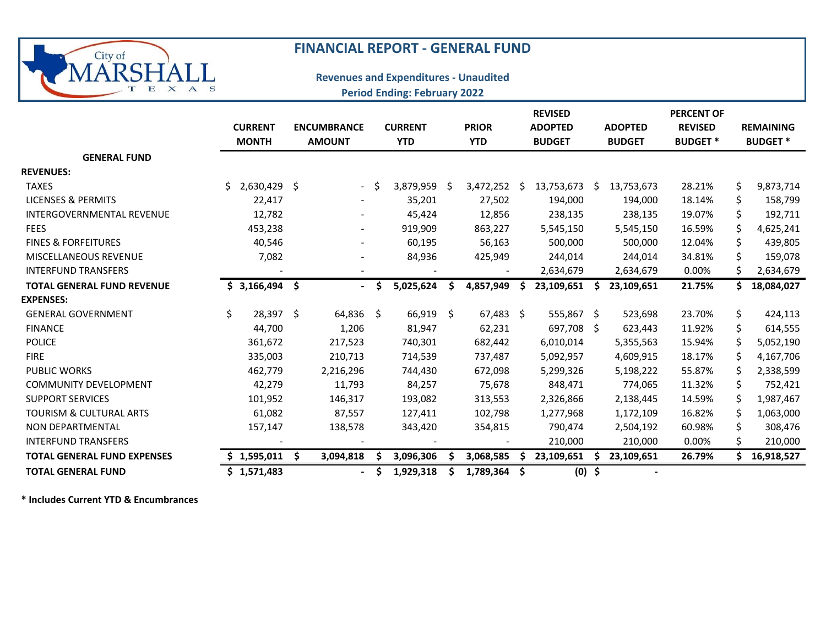

## **FINANCIAL REPORT - GENERAL FUND**

### **Revenues and Expenditures - Unaudited**

**Period Ending: February 2022**

|                                    |                    |              |                    |   |                |     |              |     | <b>REVISED</b> |    |                | <b>PERCENT OF</b> |     |                  |
|------------------------------------|--------------------|--------------|--------------------|---|----------------|-----|--------------|-----|----------------|----|----------------|-------------------|-----|------------------|
|                                    | <b>CURRENT</b>     |              | <b>ENCUMBRANCE</b> |   | <b>CURRENT</b> |     | <b>PRIOR</b> |     | <b>ADOPTED</b> |    | <b>ADOPTED</b> | <b>REVISED</b>    |     | <b>REMAINING</b> |
|                                    | <b>MONTH</b>       |              | <b>AMOUNT</b>      |   | <b>YTD</b>     |     | <b>YTD</b>   |     | <b>BUDGET</b>  |    | <b>BUDGET</b>  | <b>BUDGET</b> *   |     | <b>BUDGET*</b>   |
| <b>GENERAL FUND</b>                |                    |              |                    |   |                |     |              |     |                |    |                |                   |     |                  |
| <b>REVENUES:</b>                   |                    |              |                    |   |                |     |              |     |                |    |                |                   |     |                  |
| <b>TAXES</b>                       | Ŝ.<br>2,630,429 \$ |              | $\sim$             | S | 3,879,959      | -\$ | 3,472,252    | \$. | 13,753,673     | Ŝ. | 13,753,673     | 28.21%            | \$. | 9,873,714        |
| <b>LICENSES &amp; PERMITS</b>      | 22,417             |              |                    |   | 35,201         |     | 27,502       |     | 194,000        |    | 194,000        | 18.14%            | \$  | 158,799          |
| <b>INTERGOVERNMENTAL REVENUE</b>   | 12,782             |              |                    |   | 45,424         |     | 12,856       |     | 238,135        |    | 238,135        | 19.07%            | \$  | 192,711          |
| <b>FEES</b>                        | 453,238            |              |                    |   | 919,909        |     | 863,227      |     | 5,545,150      |    | 5,545,150      | 16.59%            | S   | 4,625,241        |
| <b>FINES &amp; FORFEITURES</b>     | 40,546             |              |                    |   | 60,195         |     | 56,163       |     | 500,000        |    | 500,000        | 12.04%            | \$  | 439,805          |
| <b>MISCELLANEOUS REVENUE</b>       | 7,082              |              |                    |   | 84,936         |     | 425,949      |     | 244,014        |    | 244,014        | 34.81%            | \$  | 159,078          |
| <b>INTERFUND TRANSFERS</b>         |                    |              |                    |   |                |     |              |     | 2,634,679      |    | 2,634,679      | 0.00%             |     | 2,634,679        |
| <b>TOTAL GENERAL FUND REVENUE</b>  | \$3,166,494        | $\mathsf{S}$ | $\sim$             | S | 5,025,624      | Ŝ.  | 4,857,949    | Ŝ   | 23,109,651     | Ŝ  | 23,109,651     | 21.75%            |     | 18,084,027       |
| <b>EXPENSES:</b>                   |                    |              |                    |   |                |     |              |     |                |    |                |                   |     |                  |
| <b>GENERAL GOVERNMENT</b>          | \$<br>28,397 \$    |              | $64,836$ \$        |   | 66,919 \$      |     | $67,483$ \$  |     | 555,867 \$     |    | 523,698        | 23.70%            | \$  | 424,113          |
| <b>FINANCE</b>                     | 44,700             |              | 1,206              |   | 81,947         |     | 62,231       |     | 697,708 \$     |    | 623,443        | 11.92%            | \$  | 614,555          |
| <b>POLICE</b>                      | 361,672            |              | 217,523            |   | 740,301        |     | 682,442      |     | 6,010,014      |    | 5,355,563      | 15.94%            | Ś   | 5,052,190        |
| <b>FIRE</b>                        | 335,003            |              | 210,713            |   | 714,539        |     | 737,487      |     | 5,092,957      |    | 4,609,915      | 18.17%            | Ś   | 4,167,706        |
| <b>PUBLIC WORKS</b>                | 462,779            |              | 2,216,296          |   | 744,430        |     | 672,098      |     | 5,299,326      |    | 5,198,222      | 55.87%            |     | 2,338,599        |
| <b>COMMUNITY DEVELOPMENT</b>       | 42,279             |              | 11,793             |   | 84,257         |     | 75,678       |     | 848,471        |    | 774,065        | 11.32%            | \$  | 752,421          |
| <b>SUPPORT SERVICES</b>            | 101,952            |              | 146,317            |   | 193,082        |     | 313,553      |     | 2,326,866      |    | 2,138,445      | 14.59%            |     | 1,987,467        |
| <b>TOURISM &amp; CULTURAL ARTS</b> | 61,082             |              | 87,557             |   | 127,411        |     | 102,798      |     | 1,277,968      |    | 1,172,109      | 16.82%            | Ś   | 1,063,000        |
| <b>NON DEPARTMENTAL</b>            | 157,147            |              | 138,578            |   | 343,420        |     | 354,815      |     | 790,474        |    | 2,504,192      | 60.98%            | \$  | 308,476          |
| <b>INTERFUND TRANSFERS</b>         |                    |              |                    |   |                |     |              |     | 210,000        |    | 210,000        | 0.00%             |     | 210,000          |
| <b>TOTAL GENERAL FUND EXPENSES</b> | \$1,595,011        | S.           | 3,094,818          |   | 3,096,306      |     | 3,068,585    | Ŝ   | 23,109,651     | S  | 23,109,651     | 26.79%            | S.  | 16,918,527       |
| <b>TOTAL GENERAL FUND</b>          | S.<br>1,571,483    |              | $\blacksquare$     |   | 1,929,318      |     | 1,789,364    | \$. | $(0)$ \$       |    |                |                   |     |                  |

**\* Includes Current YTD & Encumbrances**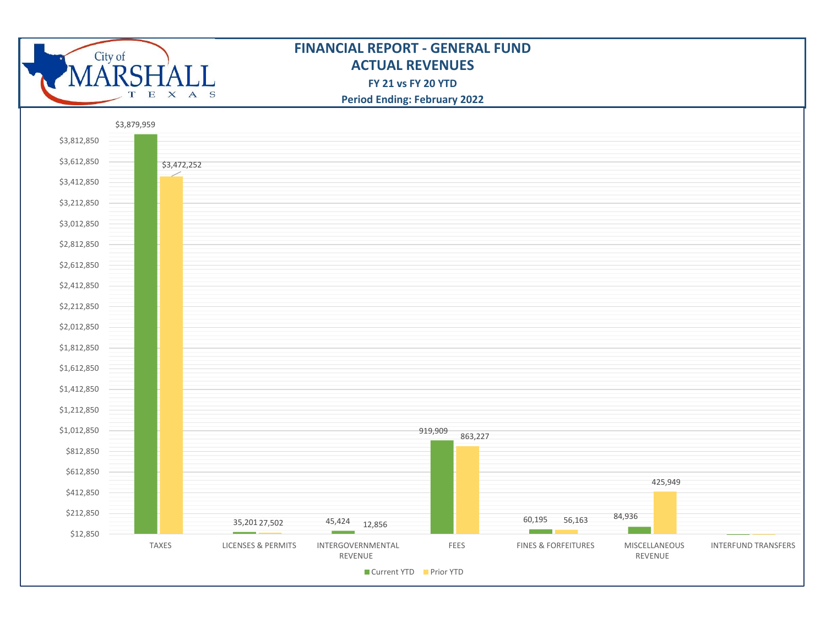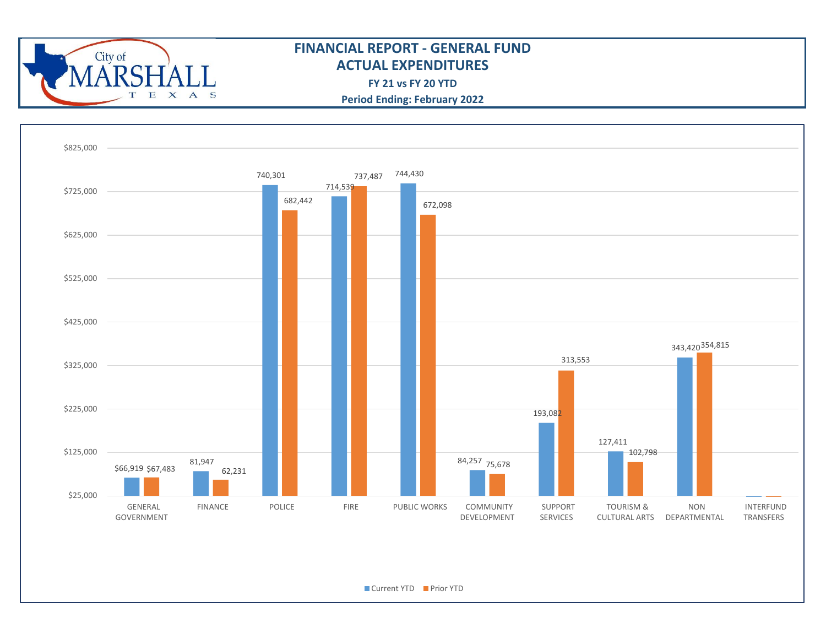

# **FINANCIAL REPORT - GENERAL FUND**

**ACTUAL EXPENDITURES**

**FY 21 vs FY 20 YTD**

**Period Ending: February 2022**

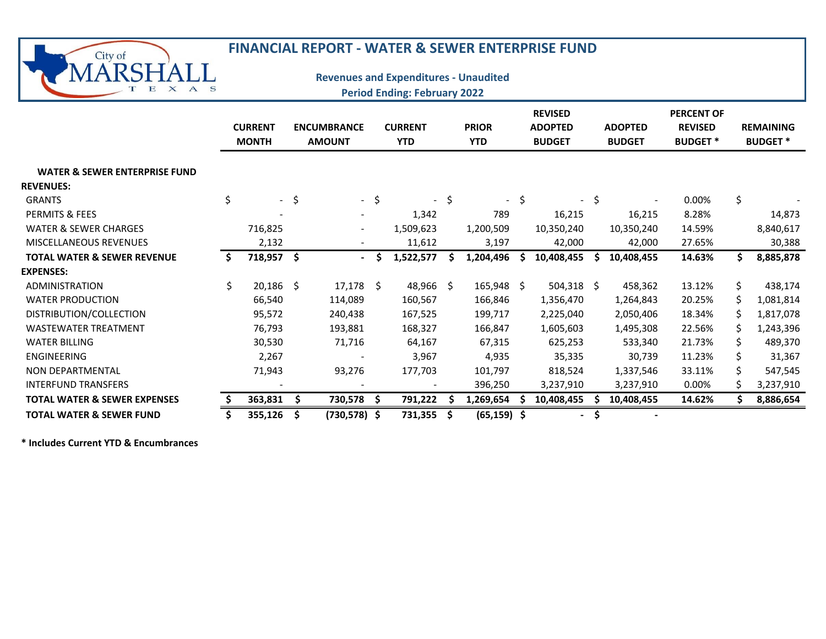| City of                                  |     |                                |        | <b>FINANCIAL REPORT - WATER &amp; SEWER ENTERPRISE FUND</b> |          |                                                                                     |    |                            |        |                                                   |    |                                 |                                                        |    |                                    |
|------------------------------------------|-----|--------------------------------|--------|-------------------------------------------------------------|----------|-------------------------------------------------------------------------------------|----|----------------------------|--------|---------------------------------------------------|----|---------------------------------|--------------------------------------------------------|----|------------------------------------|
| $A$ S<br>Е<br>$\mathbf x$                |     |                                |        |                                                             |          | <b>Revenues and Expenditures - Unaudited</b><br><b>Period Ending: February 2022</b> |    |                            |        |                                                   |    |                                 |                                                        |    |                                    |
|                                          |     | <b>CURRENT</b><br><b>MONTH</b> |        | <b>ENCUMBRANCE</b><br><b>AMOUNT</b>                         |          | <b>CURRENT</b><br><b>YTD</b>                                                        |    | <b>PRIOR</b><br><b>YTD</b> |        | <b>REVISED</b><br><b>ADOPTED</b><br><b>BUDGET</b> |    | <b>ADOPTED</b><br><b>BUDGET</b> | <b>PERCENT OF</b><br><b>REVISED</b><br><b>BUDGET</b> * |    | <b>REMAINING</b><br><b>BUDGET*</b> |
| <b>WATER &amp; SEWER ENTERPRISE FUND</b> |     |                                |        |                                                             |          |                                                                                     |    |                            |        |                                                   |    |                                 |                                                        |    |                                    |
| <b>REVENUES:</b>                         |     |                                |        |                                                             |          |                                                                                     |    |                            |        |                                                   |    |                                 |                                                        |    |                                    |
| <b>GRANTS</b>                            | \$  |                                | $-$ \$ |                                                             | $-$ \$   | $\sim$                                                                              | \$ |                            | $-$ \$ | $\sim$                                            | \$ |                                 | 0.00%                                                  | \$ |                                    |
| PERMITS & FEES                           |     |                                |        |                                                             |          | 1,342                                                                               |    | 789                        |        | 16,215                                            |    | 16,215                          | 8.28%                                                  |    | 14,873                             |
| <b>WATER &amp; SEWER CHARGES</b>         |     | 716,825                        |        |                                                             |          | 1,509,623                                                                           |    | 1,200,509                  |        | 10,350,240                                        |    | 10,350,240                      | 14.59%                                                 |    | 8,840,617                          |
| <b>MISCELLANEOUS REVENUES</b>            |     | 2,132                          |        |                                                             |          | 11,612                                                                              |    | 3,197                      |        | 42,000                                            |    | 42,000                          | 27.65%                                                 |    | 30,388                             |
| <b>TOTAL WATER &amp; SEWER REVENUE</b>   | Ś.  | 718,957 \$                     |        | $\sim$ 100 $\mu$                                            | -S       | 1,522,577                                                                           | Ŝ. | 1,204,496                  | S      | 10,408,455                                        | Ŝ. | 10,408,455                      | 14.63%                                                 | \$ | 8,885,878                          |
| <b>EXPENSES:</b>                         |     |                                |        |                                                             |          |                                                                                     |    |                            |        |                                                   |    |                                 |                                                        |    |                                    |
| <b>ADMINISTRATION</b>                    | \$. | 20,186 \$                      |        | $17,178$ \$                                                 |          | 48,966                                                                              | Ŝ. | $165,948$ \$               |        | $504,318$ \$                                      |    | 458,362                         | 13.12%                                                 | \$ | 438,174                            |
| <b>WATER PRODUCTION</b>                  |     | 66,540                         |        | 114,089                                                     |          | 160,567                                                                             |    | 166,846                    |        | 1,356,470                                         |    | 1,264,843                       | 20.25%                                                 | Ś. | 1,081,814                          |
| DISTRIBUTION/COLLECTION                  |     | 95,572                         |        | 240,438                                                     |          | 167,525                                                                             |    | 199,717                    |        | 2,225,040                                         |    | 2,050,406                       | 18.34%                                                 | \$ | 1,817,078                          |
| <b>WASTEWATER TREATMENT</b>              |     | 76,793                         |        | 193,881                                                     |          | 168,327                                                                             |    | 166,847                    |        | 1,605,603                                         |    | 1,495,308                       | 22.56%                                                 | \$ | 1,243,396                          |
| <b>WATER BILLING</b>                     |     | 30,530                         |        | 71,716                                                      |          | 64,167                                                                              |    | 67,315                     |        | 625,253                                           |    | 533,340                         | 21.73%                                                 | \$ | 489,370                            |
| <b>ENGINEERING</b>                       |     | 2,267                          |        |                                                             |          | 3,967                                                                               |    | 4,935                      |        | 35,335                                            |    | 30,739                          | 11.23%                                                 | Ś. | 31,367                             |
| NON DEPARTMENTAL                         |     | 71,943                         |        | 93,276                                                      |          | 177,703                                                                             |    | 101,797                    |        | 818,524                                           |    | 1,337,546                       | 33.11%                                                 | \$ | 547,545                            |
| <b>INTERFUND TRANSFERS</b>               |     |                                |        |                                                             |          |                                                                                     |    | 396,250                    |        | 3,237,910                                         |    | 3,237,910                       | 0.00%                                                  | \$ | 3,237,910                          |
| <b>TOTAL WATER &amp; SEWER EXPENSES</b>  |     | 363,831                        | Ŝ.     | 730,578                                                     | <b>S</b> | 791,222                                                                             | S  | 1,269,654                  |        | 10,408,455                                        |    | 10,408,455                      | 14.62%                                                 | Ś  | 8,886,654                          |
| <b>TOTAL WATER &amp; SEWER FUND</b>      |     | 355,126                        | \$     | $(730, 578)$ \$                                             |          | 731,355                                                                             | \$ | $(65, 159)$ \$             |        | $\blacksquare$                                    | S  |                                 |                                                        |    |                                    |

**\* Includes Current YTD & Encumbrances**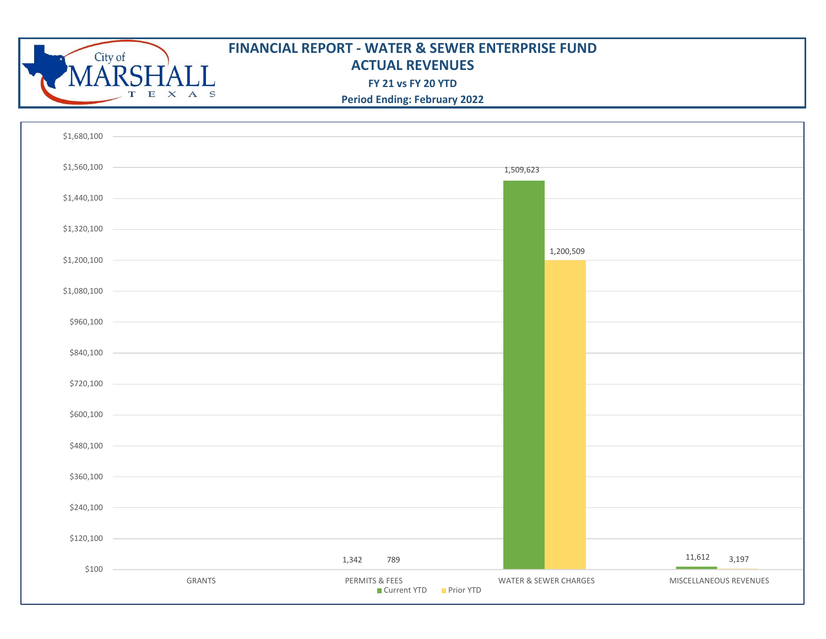

### **FINANCIAL REPORT - WATER & SEWER ENTERPRISE FUND ACTUAL REVENUES**

**FY 21 vs FY 20 YTD**

**Period Ending: February 2022**

| \$1,680,100  |        |                                             |                       |                        |
|--------------|--------|---------------------------------------------|-----------------------|------------------------|
|              |        |                                             |                       |                        |
| \$1,560,100  |        |                                             | 1,509,623             |                        |
| \$1,440,100  |        |                                             |                       |                        |
| \$1,320,100  |        |                                             |                       |                        |
|              |        |                                             | 1,200,509             |                        |
| \$1,200,100  |        |                                             |                       |                        |
| \$1,080,100  |        |                                             |                       |                        |
| \$960,100    | $\sim$ |                                             |                       |                        |
|              |        |                                             |                       |                        |
| \$840,100    |        |                                             |                       |                        |
| \$720,100    |        |                                             |                       |                        |
| \$600,100    |        |                                             |                       |                        |
|              |        |                                             |                       |                        |
| \$480,100    |        |                                             |                       |                        |
| \$360,100    |        |                                             |                       |                        |
| \$240,100    |        |                                             |                       |                        |
| $$120,100$ – |        |                                             |                       |                        |
|              |        |                                             |                       |                        |
| \$100        |        | 1,342<br>789                                |                       | 11,612<br>3,197        |
|              | GRANTS | PERMITS & FEES<br>■ Current YTD ■ Prior YTD | WATER & SEWER CHARGES | MISCELLANEOUS REVENUES |